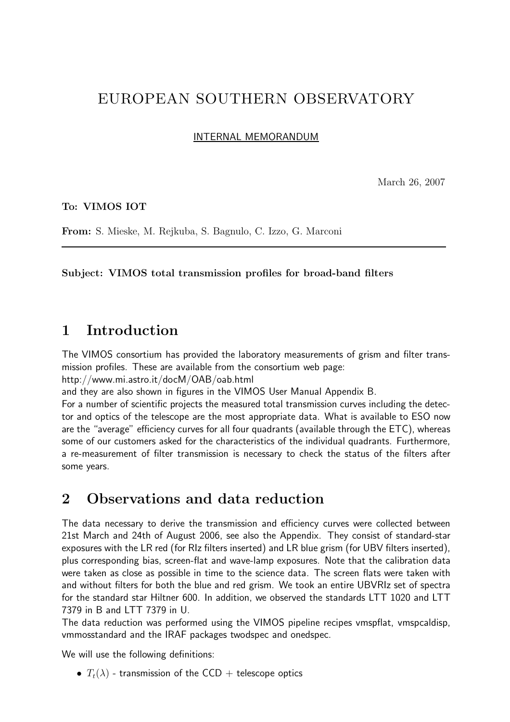## EUROPEAN SOUTHERN OBSERVATORY

INTERNAL MEMORANDUM

March 26, 2007

To: VIMOS IOT

From: S. Mieske, M. Rejkuba, S. Bagnulo, C. Izzo, G. Marconi

Subject: VIMOS total transmission profiles for broad-band filters

### 1 Introduction

The VIMOS consortium has provided the laboratory measurements of grism and filter transmission profiles. These are available from the consortium web page:

http://www.mi.astro.it/docM/OAB/oab.html

and they are also shown in figures in the VIMOS User Manual Appendix B.

For a number of scientific projects the measured total transmission curves including the detector and optics of the telescope are the most appropriate data. What is available to ESO now are the "average" efficiency curves for all four quadrants (available through the ETC), whereas some of our customers asked for the characteristics of the individual quadrants. Furthermore, a re-measurement of filter transmission is necessary to check the status of the filters after some years.

### 2 Observations and data reduction

The data necessary to derive the transmission and efficiency curves were collected between 21st March and 24th of August 2006, see also the Appendix. They consist of standard-star exposures with the LR red (for RIz filters inserted) and LR blue grism (for UBV filters inserted), plus corresponding bias, screen-flat and wave-lamp exposures. Note that the calibration data were taken as close as possible in time to the science data. The screen flats were taken with and without filters for both the blue and red grism. We took an entire UBVRIz set of spectra for the standard star Hiltner 600. In addition, we observed the standards LTT 1020 and LTT 7379 in B and LTT 7379 in U.

The data reduction was performed using the VIMOS pipeline recipes vmspflat, vmspcaldisp, vmmosstandard and the IRAF packages twodspec and onedspec.

We will use the following definitions:

•  $T_t(\lambda)$  - transmission of the CCD + telescope optics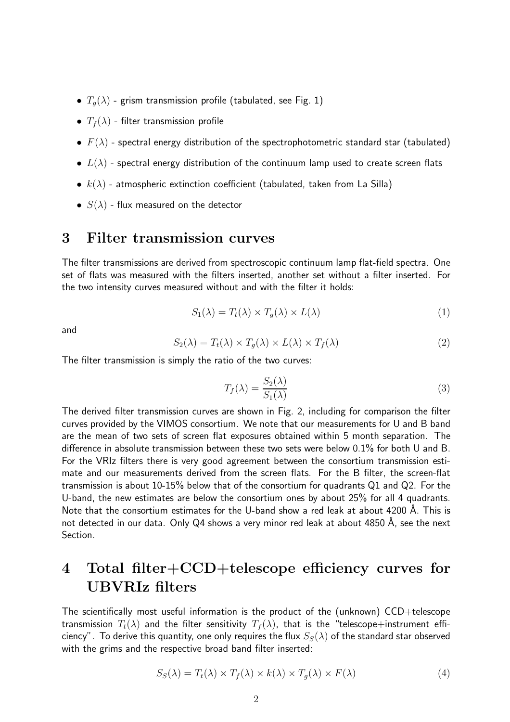- $T_q(\lambda)$  grism transmission profile (tabulated, see Fig. 1)
- $T_f(\lambda)$  filter transmission profile
- $F(\lambda)$  spectral energy distribution of the spectrophotometric standard star (tabulated)
- $L(\lambda)$  spectral energy distribution of the continuum lamp used to create screen flats
- $k(\lambda)$  atmospheric extinction coefficient (tabulated, taken from La Silla)
- $S(\lambda)$  flux measured on the detector

#### 3 Filter transmission curves

The filter transmissions are derived from spectroscopic continuum lamp flat-field spectra. One set of flats was measured with the filters inserted, another set without a filter inserted. For the two intensity curves measured without and with the filter it holds:

$$
S_1(\lambda) = T_t(\lambda) \times T_g(\lambda) \times L(\lambda)
$$
\n(1)

and

$$
S_2(\lambda) = T_t(\lambda) \times T_g(\lambda) \times L(\lambda) \times T_f(\lambda)
$$
\n(2)

The filter transmission is simply the ratio of the two curves:

$$
T_f(\lambda) = \frac{S_2(\lambda)}{S_1(\lambda)}\tag{3}
$$

The derived filter transmission curves are shown in Fig. 2, including for comparison the filter curves provided by the VIMOS consortium. We note that our measurements for U and B band are the mean of two sets of screen flat exposures obtained within 5 month separation. The difference in absolute transmission between these two sets were below 0.1% for both U and B. For the VRIz filters there is very good agreement between the consortium transmission estimate and our measurements derived from the screen flats. For the B filter, the screen-flat transmission is about 10-15% below that of the consortium for quadrants Q1 and Q2. For the U-band, the new estimates are below the consortium ones by about 25% for all 4 quadrants. Note that the consortium estimates for the U-band show a red leak at about 4200 Å. This is not detected in our data. Only Q4 shows a very minor red leak at about 4850 Å, see the next Section.

# 4 Total filter+CCD+telescope efficiency curves for UBVRIz filters

The scientifically most useful information is the product of the (unknown) CCD+telescope transmission  $T_t(\lambda)$  and the filter sensitivity  $T_f(\lambda)$ , that is the "telescope+instrument efficiency". To derive this quantity, one only requires the flux  $S<sub>S</sub>(\lambda)$  of the standard star observed with the grims and the respective broad band filter inserted:

$$
S_S(\lambda) = T_t(\lambda) \times T_f(\lambda) \times k(\lambda) \times T_g(\lambda) \times F(\lambda)
$$
\n(4)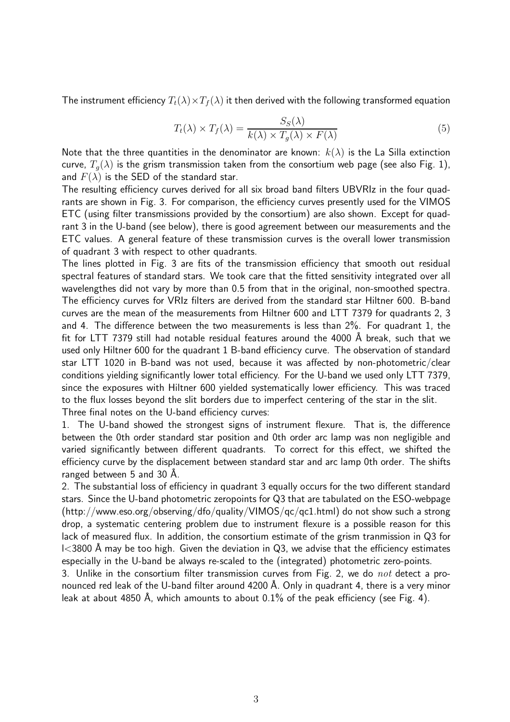The instrument efficiency  $T_t(\lambda) \times T_f(\lambda)$  it then derived with the following transformed equation

$$
T_t(\lambda) \times T_f(\lambda) = \frac{S_S(\lambda)}{k(\lambda) \times T_g(\lambda) \times F(\lambda)}
$$
(5)

Note that the three quantities in the denominator are known:  $k(\lambda)$  is the La Silla extinction curve,  $T_q(\lambda)$  is the grism transmission taken from the consortium web page (see also Fig. 1), and  $F(\lambda)$  is the SED of the standard star.

The resulting efficiency curves derived for all six broad band filters UBVRIz in the four quadrants are shown in Fig. 3. For comparison, the efficiency curves presently used for the VIMOS ETC (using filter transmissions provided by the consortium) are also shown. Except for quadrant 3 in the U-band (see below), there is good agreement between our measurements and the ETC values. A general feature of these transmission curves is the overall lower transmission of quadrant 3 with respect to other quadrants.

The lines plotted in Fig. 3 are fits of the transmission efficiency that smooth out residual spectral features of standard stars. We took care that the fitted sensitivity integrated over all wavelengthes did not vary by more than 0.5 from that in the original, non-smoothed spectra. The efficiency curves for VRIz filters are derived from the standard star Hiltner 600. B-band curves are the mean of the measurements from Hiltner 600 and LTT 7379 for quadrants 2, 3 and 4. The difference between the two measurements is less than 2%. For quadrant 1, the fit for LTT 7379 still had notable residual features around the 4000 Å break, such that we used only Hiltner 600 for the quadrant 1 B-band efficiency curve. The observation of standard star LTT 1020 in B-band was not used, because it was affected by non-photometric/clear conditions yielding significantly lower total efficiency. For the U-band we used only LTT 7379, since the exposures with Hiltner 600 yielded systematically lower efficiency. This was traced to the flux losses beyond the slit borders due to imperfect centering of the star in the slit. Three final notes on the U-band efficiency curves:

1. The U-band showed the strongest signs of instrument flexure. That is, the difference between the 0th order standard star position and 0th order arc lamp was non negligible and varied significantly between different quadrants. To correct for this effect, we shifted the efficiency curve by the displacement between standard star and arc lamp 0th order. The shifts ranged between  $5$  and  $30$  Å.

2. The substantial loss of efficiency in quadrant 3 equally occurs for the two different standard stars. Since the U-band photometric zeropoints for Q3 that are tabulated on the ESO-webpage (http://www.eso.org/observing/dfo/quality/VIMOS/qc/qc1.html) do not show such a strong drop, a systematic centering problem due to instrument flexure is a possible reason for this lack of measured flux. In addition, the consortium estimate of the grism tranmission in Q3 for  $I$ <3800 Å may be too high. Given the deviation in Q3, we advise that the efficiency estimates especially in the U-band be always re-scaled to the (integrated) photometric zero-points.

3. Unlike in the consortium filter transmission curves from Fig. 2, we do not detect a pronounced red leak of the U-band filter around 4200 Å. Only in quadrant 4, there is a very minor leak at about 4850 Å, which amounts to about  $0.1\%$  of the peak efficiency (see Fig. 4).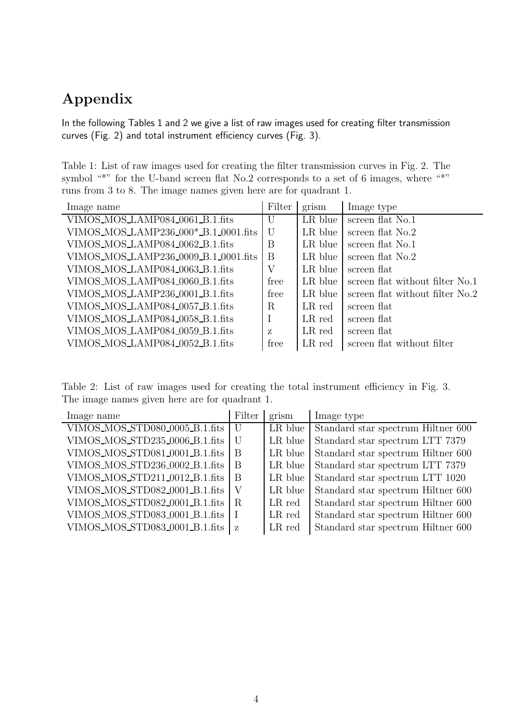### Appendix

In the following Tables 1 and 2 we give a list of raw images used for creating filter transmission curves (Fig. 2) and total instrument efficiency curves (Fig. 3).

Table 1: List of raw images used for creating the filter transmission curves in Fig. 2. The symbol  $"$ " for the U-band screen flat No.2 corresponds to a set of 6 images, where "\*" runs from 3 to 8. The image names given here are for quadrant 1.

| Image name                           | Filter | grism   | Image type                      |
|--------------------------------------|--------|---------|---------------------------------|
| VIMOS_MOS_LAMP084_0061_B.1.fits      | U      | LR blue | screen flat No.1                |
| VIMOS_MOS_LAMP236_000*_B.1_0001.fits | U      | LR blue | screen flat No.2                |
| VIMOS_MOS_LAMP084_0062_B.1.fits      | B      | LR blue | screen flat No.1                |
| VIMOS_MOS_LAMP236_0009_B.1_0001.fits | B      | LR blue | screen flat No.2                |
| VIMOS_MOS_LAMP084_0063_B.1.fits      | V      | LR blue | screen flat                     |
| VIMOS_MOS_LAMP084_0060_B.1.fits      | free   | LR blue | screen flat without filter No.1 |
| VIMOS_MOS_LAMP236_0001_B.1.fits      | free   | LR blue | screen flat without filter No.2 |
| VIMOS_MOS_LAMP084_0057_B.1.fits      | R      | LR red  | screen flat                     |
| VIMOS_MOS_LAMP084_0058_B.1.fits      |        | LR red  | screen flat                     |
| VIMOS_MOS_LAMP084_0059_B.1.fits      | Z      | LR red  | screen flat                     |
| VIMOS_MOS_LAMP084_0052_B.1.fits      | free   | LR red  | screen flat without filter      |

Table 2: List of raw images used for creating the total instrument efficiency in Fig. 3. The image names given here are for quadrant 1.

| Image name                     | Filter | grism   | Image type                         |
|--------------------------------|--------|---------|------------------------------------|
| VIMOS_MOS_STD080_0005_B.1.fits | U      | LR blue | Standard star spectrum Hiltner 600 |
| VIMOS_MOS_STD235_0006_B.1.fits | U      | LR blue | Standard star spectrum LTT 7379    |
| VIMOS_MOS_STD081_0001_B.1.fits | B      | LR blue | Standard star spectrum Hiltner 600 |
| VIMOS_MOS_STD236_0002_B.1.fits | B      | LR blue | Standard star spectrum LTT 7379    |
| VIMOS_MOS_STD211_0012_B.1.fits | B      | LR blue | Standard star spectrum LTT 1020    |
| VIMOS_MOS_STD082_0001_B.1.fits | V      | LR blue | Standard star spectrum Hiltner 600 |
| VIMOS_MOS_STD082_0001_B.1.fits | R.     | LR red  | Standard star spectrum Hiltner 600 |
| VIMOS_MOS_STD083_0001_B.1.fits |        | LR red  | Standard star spectrum Hiltner 600 |
| VIMOS_MOS_STD083_0001_B.1.fits | Z      | LR red  | Standard star spectrum Hiltner 600 |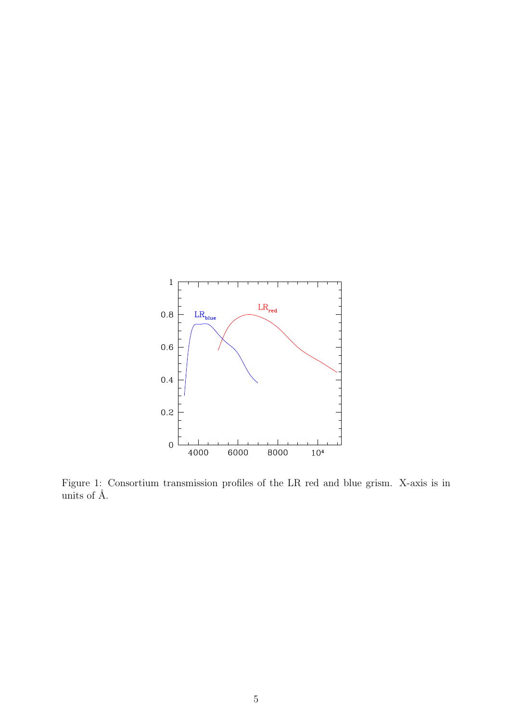

Figure 1: Consortium transmission profiles of the LR red and blue grism. X-axis is in units of Å.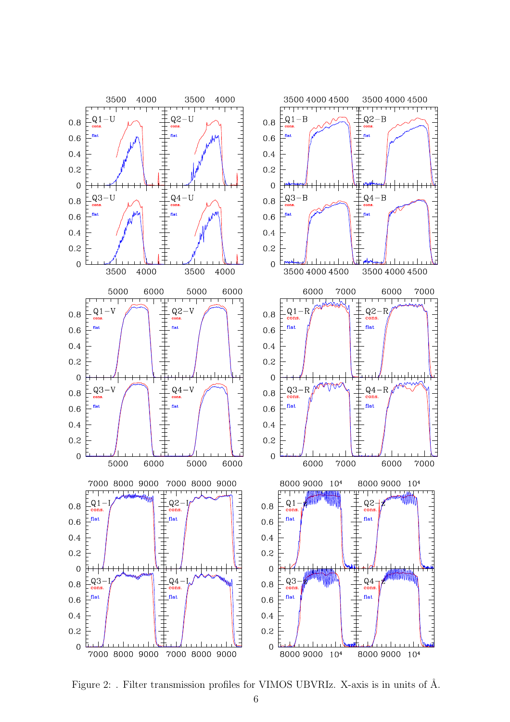

Figure 2: . Filter transmission profiles for VIMOS UBVRIz. X-axis is in units of  $\AA$ .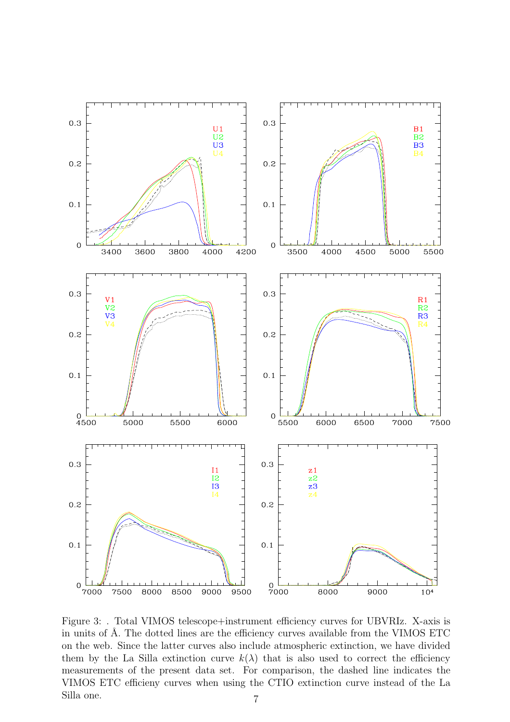

Figure 3: . Total VIMOS telescope+instrument efficiency curves for UBVRIz. X-axis is in units of Å. The dotted lines are the efficiency curves available from the VIMOS ETC on the web. Since the latter curves also include atmospheric extinction, we have divided them by the La Silla extinction curve  $k(\lambda)$  that is also used to correct the efficiency measurements of the present data set. For comparison, the dashed line indicates the VIMOS ETC efficieny curves when using the CTIO extinction curve instead of the La Silla one. 7